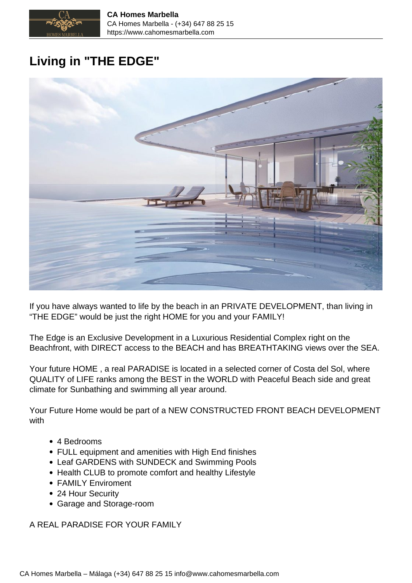

## **Living in "THE EDGE"**



If you have always wanted to life by the beach in an PRIVATE DEVELOPMENT, than living in "THE EDGE" would be just the right HOME for you and your FAMILY!

The Edge is an Exclusive Development in a Luxurious Residential Complex right on the Beachfront, with DIRECT access to the BEACH and has BREATHTAKING views over the SEA.

Your future HOME , a real PARADISE is located in a selected corner of Costa del Sol, where QUALITY of LIFE ranks among the BEST in the WORLD with Peaceful Beach side and great climate for Sunbathing and swimming all year around.

Your Future Home would be part of a NEW CONSTRUCTED FRONT BEACH DEVELOPMENT with

- 4 Bedrooms
- FULL equipment and amenities with High End finishes
- Leaf GARDENS with SUNDECK and Swimming Pools
- Health CLUB to promote comfort and healthy Lifestyle
- FAMILY Enviroment
- 24 Hour Security
- Garage and Storage-room

A REAL PARADISE FOR YOUR FAMILY